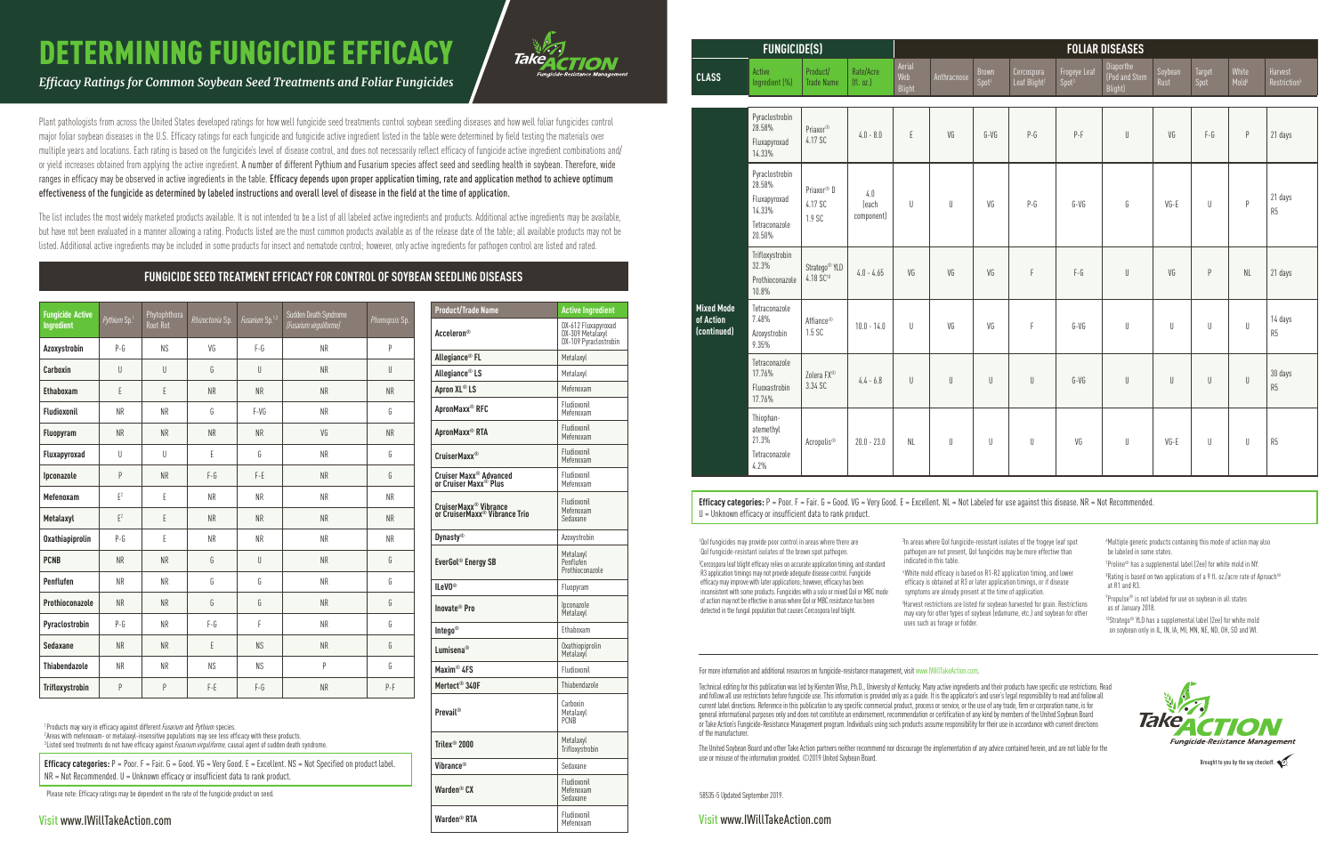## DETERMINING FUNGICIDE EFFICACY

*Efficacy Ratings for Common Soybean Seed Treatments and Foliar Fungicides* 

Plant pathologists from across the United States developed ratings for how well fungicide seed treatments control soybean seedling diseases and how well foliar fungicides control major foliar soybean diseases in the U.S. Efficacy ratings for each fungicide and fungicide active ingredient listed in the table were determined by field testing the materials over multiple years and locations. Each rating is based on the fungicide's level of disease control, and does not necessarily reflect efficacy of fungicide active ingredient combinations and/ or yield increases obtained from applying the active ingredient. A number of different Pythium and Fusarium species affect seed and seedling health in soybean. Therefore, wide ranges in efficacy may be observed in active ingredients in the table. Efficacy depends upon proper application timing, rate and application method to achieve optimum effectiveness of the fungicide as determined by labeled instructions and overall level of disease in the field at the time of application.

The list includes the most widely marketed products available. It is not intended to be a list of all labeled active ingredients and products. Additional active ingredients may be available, but have not been evaluated in a manner allowing a rating. Products listed are the most common products available as of the release date of the table; all available products may not be listed. Additional active ingredients may be included in some products for insect and nematode control; however, only active ingredients for pathogen control are listed and rated.

| <b>Product/Trade Name</b>                                               | <b>Active Ingredient</b>                                         |
|-------------------------------------------------------------------------|------------------------------------------------------------------|
| <b>Acceleron®</b>                                                       | DX-612 Fluxapyroxad<br>DX-309 Metalaxyl<br>DX-109 Pyraclostrobin |
| Allegiance <sup>®</sup> FL                                              | Metalaxyl                                                        |
| Allegiance <sup>®</sup> LS                                              | Metalaxyl                                                        |
| Apron XL® LS                                                            | Mefenoxam                                                        |
| ApronMaxx® RFC                                                          | Fludioxonil<br>Mefenoxam                                         |
| ApronMaxx <sup>®</sup> RTA                                              | Fludioxonil<br>Mefenoxam                                         |
| <b>CruiserMaxx<sup>®</sup></b>                                          | Fludioxonil<br>Mefenoxam                                         |
| Cruiser Maxx <sup>®</sup> Advanced<br>or Cruiser Maxx <sup>®</sup> Plus | Fludioxonil<br>Mefenoxam                                         |
| CruiserMaxx® Vibrance<br>or CruiserMaxx® Vibrance Trio                  | Fludioxonil<br>Mefenoxam<br>Sedaxane                             |
| <b>Dynasty®</b>                                                         | Azoxystrobin                                                     |
| EverGol <sup>®</sup> Energy SB                                          | Metalaxyl<br>Penflufen<br>Prothioconazole                        |
| $lleV0^{\circ}$                                                         | Fluopyram                                                        |
| Inovate <sup>®</sup> Pro                                                | Ipconazole<br>Metalaxyl                                          |
| Intego <sup>®</sup>                                                     | Ethaboxam                                                        |
| Lumisena®                                                               | Oxathiopiprolin<br>Metalaxyl                                     |
| Maxim <sup>®</sup> 4FS                                                  | Fludioxonil                                                      |
| Mertect <sup>®</sup> 340F                                               | Thiabendazole                                                    |
| <b>Prevail®</b>                                                         | Carboxin<br>Metalaxyl<br><b>PCNB</b>                             |
| Trilex <sup>®</sup> 2000                                                | Metalaxyl<br>Trifloxystrobin                                     |
| Vibrance®                                                               | Sedaxane                                                         |
| Warden <sup>®</sup> CX                                                  | Fludioxonil<br>Mefenoxam<br>Sedaxane                             |
| Warden <sup>®</sup> RTA                                                 | Fludioxonil<br>Mefenoxam                                         |

| <b>Fungicide Active</b><br>Ingredient | Pythium Sp.1   | Phytophthora<br>Root Rot | Rhizoctonia Sp. | Fusarium Sp. <sup>1,3</sup> | Sudden Death Syndrome<br>(Fusarium virguliforme) | Phomopsis Sp. |
|---------------------------------------|----------------|--------------------------|-----------------|-----------------------------|--------------------------------------------------|---------------|
| Azoxystrobin                          | $P-G$          | NS                       | VG              | $F - G$                     | <b>NR</b>                                        | P             |
| Carboxin                              | $\cup$         | U                        | G               | U                           | <b>NR</b>                                        | U             |
| Ethaboxam                             | E              | E                        | <b>NR</b>       | <b>NR</b>                   | <b>NR</b>                                        | <b>NR</b>     |
| Fludioxonil                           | <b>NR</b>      | <b>NR</b>                | G               | $F-VG$                      | <b>NR</b>                                        | G             |
| Fluopyram                             | <b>NR</b>      | <b>NR</b>                | <b>NR</b>       | <b>NR</b>                   | VG                                               | <b>NR</b>     |
| Fluxapyroxad                          | $\cup$         | U                        | E               | G                           | <b>NR</b>                                        | G             |
| Ipconazole                            | P              | <b>NR</b>                | $F - G$         | F-E                         | <b>NR</b>                                        | G             |
| Mefenoxam                             | $E^2$          | E                        | <b>NR</b>       | <b>NR</b>                   | <b>NR</b>                                        | <b>NR</b>     |
| Metalaxyl                             | F <sup>2</sup> | E                        | <b>NR</b>       | <b>NR</b>                   | <b>NR</b>                                        | <b>NR</b>     |
| Oxathiapiprolin                       | $P-G$          | E                        | <b>NR</b>       | <b>NR</b>                   | <b>NR</b>                                        | <b>NR</b>     |
| <b>PCNB</b>                           | <b>NR</b>      | <b>NR</b>                | G               | U                           | <b>NR</b>                                        | G             |
| Penflufen                             | <b>NR</b>      | <b>NR</b>                | G               | G                           | <b>NR</b>                                        | G             |
| Prothioconazole                       | <b>NR</b>      | <b>NR</b>                | G               | G                           | <b>NR</b>                                        | G             |
| Pyraclostrobin                        | $P-G$          | <b>NR</b>                | $F-G$           | F                           | <b>NR</b>                                        | G             |
| Sedaxane                              | <b>NR</b>      | <b>NR</b>                | E               | <b>NS</b>                   | <b>NR</b>                                        | G             |
| <b>Thiabendazole</b>                  | <b>NR</b>      | <b>NR</b>                | <b>NS</b>       | <b>NS</b>                   | P                                                | G             |
| Trifloxystrobin                       | P              | P                        | $F-E$           | $F-G$                       | <b>NR</b>                                        | $P-F$         |

<sup>1</sup> Products may vary in efficacy against different *Fusarium* and *Pythium* species.<br><sup>2</sup> Areas with metenoxam- or metalaxyl-insensitive nonulations may see less eff <sup>2</sup> Areas with mefenoxam- or metalaxyl-insensitive populations may see less efficacy with these products.

<sup>3</sup> Listed seed treatments do not have efficacy against *Fusarium virguliforme*, causal agent of sudden death syndrome.

**Efficacy categories:**  $P = P$ oor.  $F = F$ air.  $G = G$ ood. VG = Very Good. E = Excellent. NS = Not Specified on product label.  $NR = Not$  Recommended.  $U =$  Unknown efficacy or insufficient data to rank product

<sup>3</sup>In areas where QoI fungicide-resistant isolates of the frogeye leaf spot pathogen are not present, QoI fungicides may be more effective than indicated in this table.

> $^8$ Rating is based on two applications of a 9 fl. oz./acre rate of Aproach $^{\circledcirc}$ at R1 and R3.

Efficacy categories: P = Poor. F = Fair. G = Good. VG = Very Good. E = Excellent. NL = Not Labeled for use against this disease. NR = Not Recommended. U = Unknown efficacy or insufficient data to rank product.

Visit www.IWillTakeAction.com

## **FUNGICIDE SEED TREATMENT EFFICACY FOR CONTROL OF SOYBEAN SEEDLING DISEASES**

58535-5 Updated September 2019.

Visit www.IWillTakeAction.com

For more information and additional resources on fungicide-resistance management, visit www.IWillTakeAction.com.

Technical editing for this publication was led by Kiersten Wise, Ph.D., University of Kentucky. Many active ingredients and their products have specific use restrictions. Read and follow all use restrictions before fungicide use. This information is provided only as a guide. It is the applicator's and user's legal responsibility to read and follow all current label directions. Reference in this publication to any specific commercial product, process or service, or the use of any trade, firm or corporation name, is for general informational purposes only and does not constitute an endorsement, recommendation or certification of any kind by members of the United Soybean Board or Take Action's Fungicide-Resistance Management program. Individuals using such products assume responsibility for their use in accordance with current directions of the manufacturer.

The United Soybean Board and other Take Action partners neither recommend nor discourage the implementation of any advice contained herein, and are not liable for the use or misuse of the information provided. ©2019 United Soybean Board.

1 QoI fungicides may provide poor control in areas where there are QoI fungicide-resistant isolates of the brown spot pathogen. 2 Cercospora leaf blight efficacy relies on accurate application timing, and standard R3 application timings may not provide adequate disease control. Fungicide efficacy may improve with later applications; however, efficacy has been inconsistent with some products. Fungicides with a solo or mixed QoI or MBC mode of action may not be effective in areas where QoI or MBC resistance has been detected in the fungal population that causes Cercospora leaf blight.

4 White mold efficacy is based on R1-R2 application timing, and lower efficacy is obtained at R3 or later application timings, or if disease symptoms are already present at the time of application.

5 Harvest restrictions are listed for soybean harvested for grain. Restrictions may vary for other types of soybean (edamame, etc.) and soybean for other uses such as forage or fodder.

6 Multiple generic products containing this mode of action may also be labeled in some states.

 $^7$ Proline $^{\circledast}$  has a supplemental label (2ee) for white mold in NY.

9 Propulse® is not labeled for use on soybean in all states as of January 2018.

10Stratego® YLD has a supplemental label (2ee) for white mold on soybean only in IL, IN, IA, MI, MN, NE, ND, OH, SD and WI.





Brought to you by the soy checkoff.

| <b>FUNGICIDE(S)</b>                           |                                                                               |                                                    |                            | <b>FOLIAR DISEASES</b>  |             |                            |                                        |                                   |                                                         |                 |                |                            |                                     |
|-----------------------------------------------|-------------------------------------------------------------------------------|----------------------------------------------------|----------------------------|-------------------------|-------------|----------------------------|----------------------------------------|-----------------------------------|---------------------------------------------------------|-----------------|----------------|----------------------------|-------------------------------------|
| <b>CLASS</b>                                  | Active<br>Ingredient (%)                                                      | Product/<br><b>Trade Name</b>                      | Rate/Acre<br>[fl. oz.]     | Aerial<br>Web<br>Blight | Anthracnose | Brown<br>Spot <sup>1</sup> | Cercospora<br>Leaf Blight <sup>2</sup> | Frogeye Leaf<br>Spot <sup>3</sup> | Diaporthe<br>$\sqrt{\frac{1}{100}}$ and Stem<br>Blight) | Soybean<br>Rust | Target<br>Spot | White<br>Mold <sup>4</sup> | Harvest<br>Restriction <sup>5</sup> |
| <b>Mixed Mode</b><br>of Action<br>(continued) | Pyraclostrobin<br>28.58%<br>Fluxapyroxad<br>14.33%                            | Priaxor®<br>4.17 SC                                | $4.0 - 8.0$                | E                       | VG          | G-VG                       | $P-G$                                  | $P-F$                             | U                                                       | VG              | $F-6$          | P                          | 21 days                             |
|                                               | Pyraclostrobin<br>28.58%<br>Fluxapyroxad<br>14.33%<br>Tetraconazole<br>20.50% | Priaxor <sup>®</sup> D<br>4.17 SC<br>1.9 SC        | 4.0<br>(each<br>component) | $\sf U$                 |             | VG                         | $P-G$                                  | G-VG                              | G                                                       | $VG - E$        | $\sf U$        | $\mathsf{P}$               | 21 days<br>R5                       |
|                                               | Trifloxystrobin<br>32.3%<br>Prothioconazole<br>10.8%                          | Stratego <sup>®</sup> YLD<br>4.18 SC <sup>10</sup> | $4.0 - 4.65$               | VG                      | VG          | VG                         | F                                      | $\mathsf{F}\text{-}\mathsf{G}$    | U                                                       | VG              | $\mathsf{P}$   | $\mathsf{NL}\xspace$       | 21 days                             |
|                                               | Tetraconazole<br>7.48%<br>Azoxystrobin<br>9.35%                               | Affiance <sup>®</sup><br>1.5 SC                    | $10.0 - 14.0$              | U                       | VG          | VG                         | F                                      | $G-VG$                            | U                                                       | $\bigcup$       | $\bigcup$      | U                          | 14 days<br>R5                       |
|                                               | Tetraconazole<br>17.76%<br>Fluoxastrobin<br>17.76%                            | Zolera FX®<br>3.34 SC                              | $4.4 - 6.8$                | $\cup$                  | $\cup$      | $\bigcup$                  | U                                      | G-VG                              | U                                                       | U               | $\cup$         | $\bigcup$                  | 30 days<br>R5                       |
|                                               | Thiophan-<br>atemethyl<br>21.3%<br>Tetraconazole<br>4.2%                      | Acropolis <sup>®</sup>                             | $20.0 - 23.0$              | <b>NL</b>               | U           |                            | U                                      | VG                                | U                                                       | VG-E            | $\bigcup$      | U                          | R5                                  |

| <b>FUNGICIDE(S)</b>                     |                                                                               |                                                    |                            | <b>FOLIAR DISEASES</b>         |              |                            |                                        |                                   |                                      |                 |                       |                            |                                     |  |
|-----------------------------------------|-------------------------------------------------------------------------------|----------------------------------------------------|----------------------------|--------------------------------|--------------|----------------------------|----------------------------------------|-----------------------------------|--------------------------------------|-----------------|-----------------------|----------------------------|-------------------------------------|--|
| LASS                                    | Active<br>Ingredient (%)                                                      | Product/<br><b>Trade Name</b>                      | Rate/Acre<br>[fl. oz.]     | Aerial<br>Web<br><b>Blight</b> | Anthracnose  | Brown<br>Spot <sup>1</sup> | Cercospora<br>Leaf Blight <sup>2</sup> | Frogeye Leaf<br>Spot <sup>3</sup> | Diaporthe<br>Pod and Stem<br>Blight) | Soybean<br>Rust | <b>Target</b><br>Spot | White<br>Mold <sup>4</sup> | Harvest<br>Restriction <sup>5</sup> |  |
| ixed Mode<br><b>Action</b><br>ontinued) | Pyraclostrobin<br>28.58%<br>Fluxapyroxad<br>14.33%                            | Priaxor®<br>4.17 SC                                | $4.0 - 8.0$                | $\mathsf E$                    | VG           | G-VG                       | $P-G$                                  | $P-F$                             | $\sf U$                              | VG              | $F - G$               | $\, {\sf P}$               | 21 days                             |  |
|                                         | Pyraclostrobin<br>28.58%<br>Fluxapyroxad<br>14.33%<br>Tetraconazole<br>20.50% | Priaxor <sup>®</sup> D<br>4.17 SC<br>1.9 SC        | 4.0<br>(each<br>component) | U                              | U            | VG                         | $P-G$                                  | $G-VG$                            | G                                    | $VG - E$        | $\sf U$               | P                          | 21 days<br>R <sub>5</sub>           |  |
|                                         | Trifloxystrobin<br>32.3%<br>Prothioconazole<br>10.8%                          | Stratego <sup>®</sup> YLD<br>4.18 SC <sup>10</sup> | $4.0 - 4.65$               | VG                             | VG           | VG                         | F                                      | $F-G$                             | $\bigcup$                            | VG              | P                     | <b>NL</b>                  | 21 days                             |  |
|                                         | Tetraconazole<br>7.48%<br>Azoxystrobin<br>9.35%                               | Affiance®<br>1.5 SC                                | $10.0 - 14.0$              | $\mathsf{U}$                   | VG           | VG                         | F                                      | $G-VG$                            | $\sf U$                              | U               | $\sf U$               | U                          | 14 days<br>R5                       |  |
|                                         | Tetraconazole<br>17.76%<br>Fluoxastrobin<br>17.76%                            | Zolera FX <sup>®</sup><br>3.34 SC                  | $4.4 - 6.8$                | $\mathsf{U}$                   | $\mathsf{U}$ | $\mathsf{U}$               | U                                      | $G-VG$                            | $\bigcup$                            | U               | $\bigcup$             | U                          | 30 days<br>R5                       |  |
|                                         | Thiophan-<br>atemethyl<br>21.3%<br>Tetraconazole<br>4.2%                      | Acropolis <sup>®</sup>                             | $20.0 - 23.0$              | NL                             | U            | U                          | U                                      | VG                                | U                                    | VG-E            | $\sf U$               | U                          | R <sub>5</sub>                      |  |

Please note: Efficacy ratings may be dependent on the rate of the fungicide product on seed.